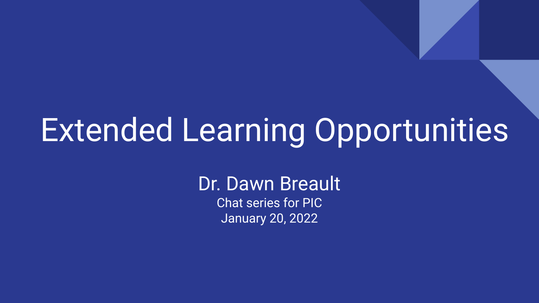# Extended Learning Opportunities

Dr. Dawn Breault

Chat series for PIC January 20, 2022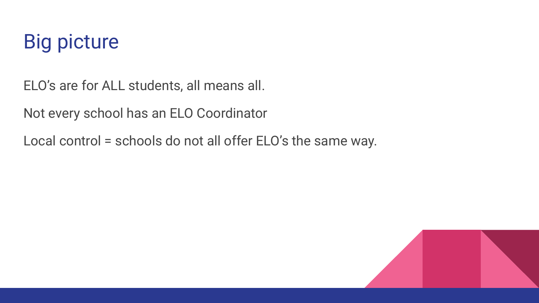### Big picture

ELO's are for ALL students, all means all.

Not every school has an ELO Coordinator

Local control = schools do not all offer ELO's the same way.

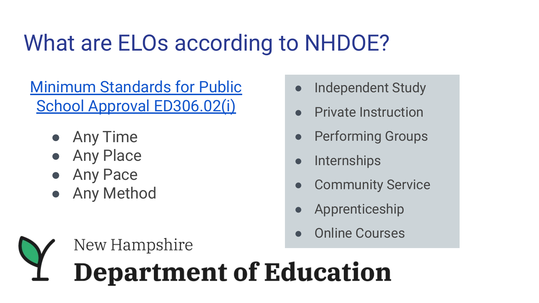## What are ELOs according to NHDOE?

[Minimum Standards for Public](https://drive.google.com/file/d/0B_hrFaCQ2A1KM1k0S1NHVk90Qm8/view?usp=sharing) [School Approval ED306.02\(i\)](https://drive.google.com/file/d/0B_hrFaCQ2A1KM1k0S1NHVk90Qm8/view?usp=sharing)

- Any Time
- **Any Place**
- Any Pace
- Any Method
- Independent Study
- **Private Instruction**
- **Performing Groups**
- **Internships**
- **Community Service**
- **Apprenticeship**
- **Online Courses**

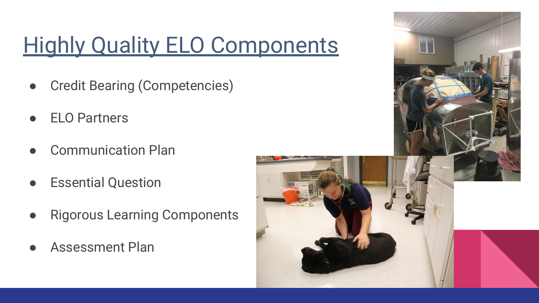# **[Highly Quality ELO Components](https://www.nhelonetwork.com/elo-framework)**

- Credit Bearing (Competencies)
- **ELO Partners**
- Communication Plan
- Essential Question
- Rigorous Learning Components
- Assessment Plan

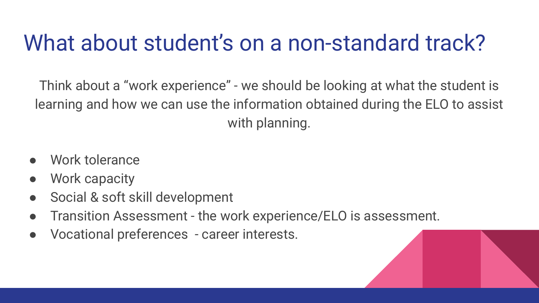### What about student's on a non-standard track?

Think about a "work experience" - we should be looking at what the student is learning and how we can use the information obtained during the ELO to assist with planning.

- Work tolerance
- Work capacity
- Social & soft skill development
- Transition Assessment the work experience/ELO is assessment.
- Vocational preferences career interests.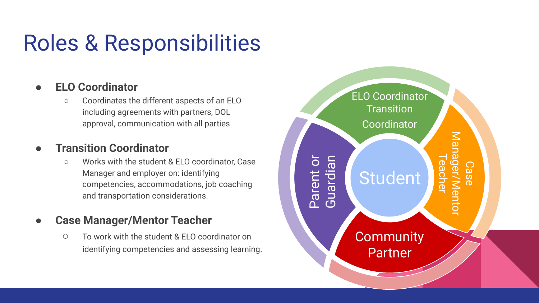## Roles & Responsibilities

#### **● ELO Coordinator**

○ Coordinates the different aspects of an ELO including agreements with partners, DOL approval, communication with all parties

#### **● Transition Coordinator**

- Works with the student & ELO coordinator, Case Manager and employer on: identifying competencies, accommodations, job coaching and transportation considerations.
- **● Case Manager/Mentor Teacher**
	- To work with the student & ELO coordinator on identifying competencies and assessing learning.

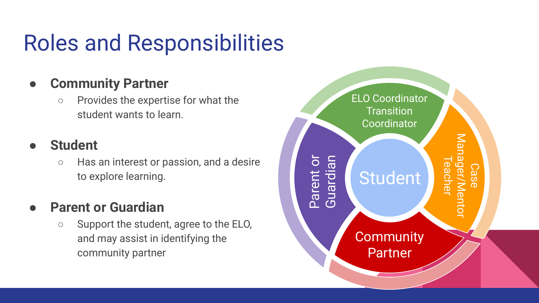### Roles and Responsibilities

### **● Community Partner**

○ Provides the expertise for what the student wants to learn.

#### **● Student**

○ Has an interest or passion, and a desire to explore learning.

### **● Parent or Guardian**

○ Support the student, agree to the ELO, and may assist in identifying the community partner

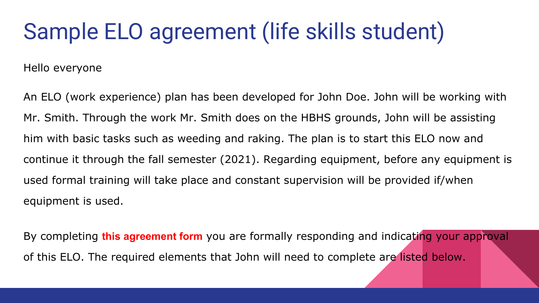### Sample ELO agreement (life skills student)

Hello everyone

An ELO (work experience) plan has been developed for John Doe. John will be working with Mr. Smith. Through the work Mr. Smith does on the HBHS grounds, John will be assisting him with basic tasks such as weeding and raking. The plan is to start this ELO now and continue it through the fall semester (2021). Regarding equipment, before any equipment is used formal training will take place and constant supervision will be provided if/when equipment is used.

By completin[g](https://docs.google.com/forms/d/e/1FAIpQLSc4F36HEOPR7FZzWf2zoCgwXmivrvOXRKYffphJfheuDiZwxw/viewform) **this agreement form** you are formally responding and indicating your approval of this ELO. The required elements that John will need to complete are listed below.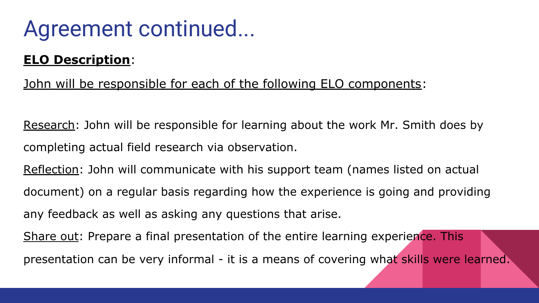### Agreement continued...

#### **ELO Description**:

John will be responsible for each of the following ELO components:

Research: John will be responsible for learning about the work Mr. Smith does by completing actual field research via observation.

Reflection: John will communicate with his support team (names listed on actual document) on a regular basis regarding how the experience is going and providing any feedback as well as asking any questions that arise. Share out: Prepare a final presentation of the entire learning experience. This presentation can be very informal - it is a means of covering what skills were learned.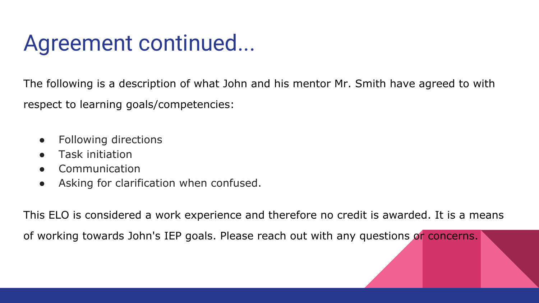### Agreement continued...

The following is a description of what John and his mentor Mr. Smith have agreed to with respect to learning goals/competencies:

- Following directions
- Task initiation
- **Communication**
- Asking for clarification when confused.

This ELO is considered a work experience and therefore no credit is awarded. It is a means

of working towards John's IEP goals. Please reach out with any questions or concerns.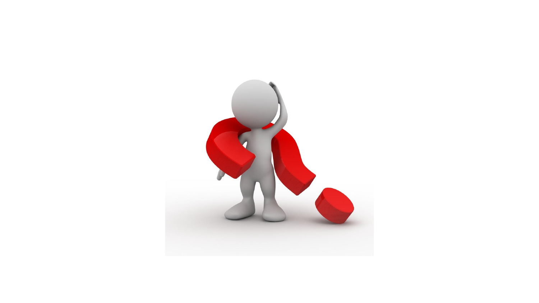